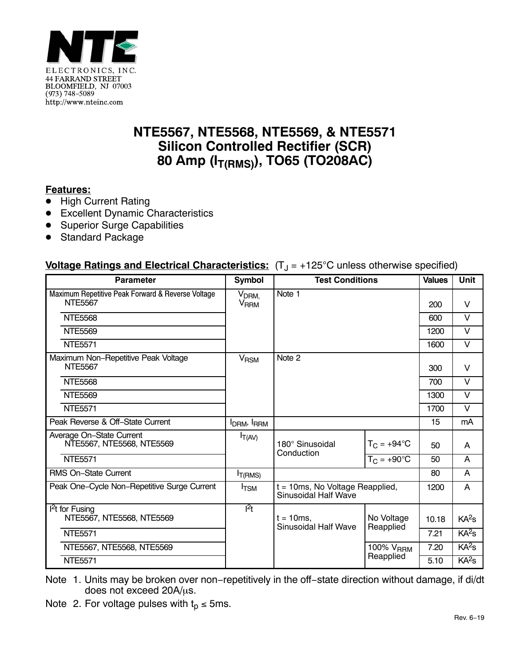

## **NTE5567, NTE5568, NTE5569, & NTE5571 Silicon Controlled Rectifier (SCR)** 80 Amp (I<sub>T(RMS)</sub>), TO65 (TO208AC)

## **Features:**

- $\bullet$ High Current Rating
- Excellent Dynamic Characteristics
- Superior Surge Capabilities
- -Standard Package

## **Voltage Ratings and Electrical Characteristics:** (T<sub>J</sub> = +125°C unless otherwise specified)

| <b>Parameter</b>                                                    | <b>Symbol</b>                               | <b>Test Conditions</b>                                                |                       | <b>Values</b> | <b>Unit</b>       |
|---------------------------------------------------------------------|---------------------------------------------|-----------------------------------------------------------------------|-----------------------|---------------|-------------------|
| Maximum Repetitive Peak Forward & Reverse Voltage<br><b>NTE5567</b> | V <sub>DRM,</sub><br><b>V<sub>RRM</sub></b> | Note 1                                                                |                       | 200           | $\vee$            |
| <b>NTE5568</b>                                                      |                                             |                                                                       |                       |               | $\vee$            |
| <b>NTE5569</b>                                                      |                                             |                                                                       |                       | 1200          | $\vee$            |
| <b>NTE5571</b>                                                      |                                             |                                                                       |                       | 1600          | V                 |
| Maximum Non-Repetitive Peak Voltage<br><b>NTE5567</b>               | V <sub>RSM</sub>                            | Note 2                                                                |                       | 300           | $\vee$            |
| <b>NTE5568</b>                                                      |                                             |                                                                       | 700                   | $\vee$        |                   |
| NTF5569                                                             |                                             |                                                                       |                       | 1300          | $\vee$            |
| <b>NTE5571</b>                                                      |                                             |                                                                       |                       | 1700          | $\vee$            |
| Peak Reverse & Off-State Current                                    | I <sub>DRM</sub> , I <sub>RRM</sub>         |                                                                       |                       | 15            | mA                |
| Average On-State Current<br>NTE5567, NTE5568, NTE5569               | $I_{T(AV)}$                                 | 180° Sinusoidal<br>Conduction                                         | $T_{C}$ = +94°C       | 50            | A                 |
| <b>NTE5571</b>                                                      |                                             |                                                                       | $T_{C}$ = +90°C       | 50            | A                 |
| <b>RMS On-State Current</b>                                         | I <sub>T</sub> (RMS)                        |                                                                       |                       | 80            | A                 |
| Peak One-Cycle Non-Repetitive Surge Current                         | <b>I</b> TSM                                | $t = 10$ ms, No Voltage Reapplied,<br>Sinusoidal Half Wave            |                       | 1200          | A                 |
| $12t$ for Fusing<br>NTE5567, NTE5568, NTE5569                       | $l^2t$                                      | $t = 10$ ms.<br><b>Sinusoidal Half Wave</b><br>Reapplied<br>Reapplied | No Voltage            | 10.18         | KA <sup>2</sup> S |
| <b>NTE5571</b>                                                      |                                             |                                                                       |                       | 7.21          | KA <sup>2</sup> S |
| NTE5567, NTE5568, NTE5569                                           |                                             |                                                                       | 100% V <sub>RRM</sub> | 7.20          | KA <sup>2</sup> S |
| <b>NTE5571</b>                                                      |                                             |                                                                       |                       | 5.10          | KA <sup>2</sup> S |

Note 1. Units may be broken over non−repetitively in the off−state direction without damage, if di/dt does not exceed  $20A/\mu s$ .

Note 2. For voltage pulses with  $t_p \le 5$ ms.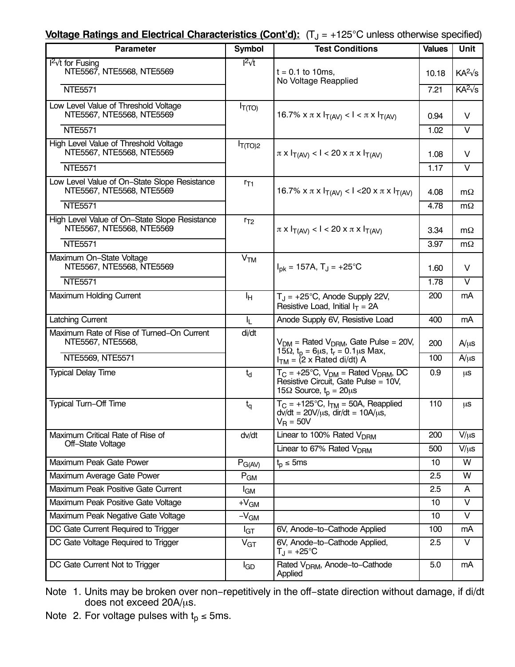**Voltage Ratings and Electrical Characteristics (Cont'd):** (T<sub>J</sub> = +125°C unless otherwise specified)

| <b>Parameter</b>                                                           | <b>Symbol</b>                                  | <b>Test Conditions</b>                                                                                                                 | <b>Values</b> | <b>Unit</b>       |
|----------------------------------------------------------------------------|------------------------------------------------|----------------------------------------------------------------------------------------------------------------------------------------|---------------|-------------------|
| $I^2$ for Fusing<br>NTE5567, NTE5568, NTE5569                              | $I^2vt$                                        | $t = 0.1$ to 10ms,<br>No Voltage Reapplied                                                                                             | 10.18         | $KA^2\sqrt{s}$    |
| <b>NTE5571</b>                                                             |                                                |                                                                                                                                        | 7.21          | $KA^2\sqrt{s}$    |
| Low Level Value of Threshold Voltage<br>NTE5567, NTE5568, NTE5569          | $I_{T(TO)}$                                    | 16.7% x π x $I_{T(AV)}$ < $I < π$ x $I_{T(AV)}$                                                                                        | 0.94          | V                 |
| <b>NTE5571</b>                                                             |                                                |                                                                                                                                        | 1.02          | V                 |
| High Level Value of Threshold Voltage<br>NTE5567, NTE5568, NTE5569         | $I_{T(TO)2}$                                   | $\pi$ x $I_{T(AV)}$ < I < 20 x $\pi$ x $I_{T(AV)}$                                                                                     | 1.08          | V                 |
| <b>NTE5571</b>                                                             |                                                |                                                                                                                                        | 1.17          | $\vee$            |
| Low Level Value of On-State Slope Resistance<br>NTE5567, NTE5568, NTE5569  | $r_{T1}$                                       | 16.7% x π x $I_{T(AV)}$ < 1 < 20 x π x $I_{T(AV)}$                                                                                     | 4.08          | $m\Omega$         |
| <b>NTE5571</b>                                                             |                                                |                                                                                                                                        | 4.78          | $m\Omega$         |
| High Level Value of On-State Slope Resistance<br>NTE5567, NTE5568, NTE5569 | $r_{T2}$                                       | $\pi$ x $I_{T(AV)}$ < 1 < 20 x $\pi$ x $I_{T(AV)}$                                                                                     | 3.34          | $m\Omega$         |
| <b>NTE5571</b>                                                             |                                                |                                                                                                                                        | 3.97          | $m\Omega$         |
| Maximum On-State Voltage<br>NTE5567, NTE5568, NTE5569                      | V <sub>TM</sub>                                | $I_{\text{pk}} = 157A, T_J = +25^{\circ}C$                                                                                             | 1.60          | v                 |
| <b>NTE5571</b>                                                             |                                                |                                                                                                                                        | 1.78          | V                 |
| Maximum Holding Current                                                    | ŀн                                             | $T_{J}$ = +25°C, Anode Supply 22V,<br>Resistive Load, Initial $I_T = 2A$                                                               | 200           | mA                |
| <b>Latching Current</b>                                                    | I <sub>L</sub>                                 | Anode Supply 6V, Resistive Load                                                                                                        | 400           | mA                |
| Maximum Rate of Rise of Turned-On Current<br>NTE5567, NTE5568,             | di/dt                                          | $V_{DM}$ = Rated $V_{DRM}$ , Gate Pulse = 20V,<br>15 $\Omega$ , $t_p = 6\mu s$ , $t_r = 0.1\mu s$ Max,                                 | 200           | $A/\mu s$         |
| NTE5569, NTE5571                                                           |                                                | $I_{TM}$ = (2 x Rated di/dt) A                                                                                                         | 100           | $A/\mu s$         |
| <b>Typical Delay Time</b>                                                  | $t_{d}$                                        | $T_C = +25^{\circ}C$ , $V_{DM} =$ Rated $V_{DRM}$ , DC<br>Resistive Circuit, Gate Pulse = 10V,<br>15 $\Omega$ Source, $t_p = 20 \mu s$ | 0.9           | μS                |
| Typical Turn-Off Time                                                      | $t_{\rm q}$                                    | $T_C = +125^{\circ}C$ , $I_{TM} = 50A$ , Reapplied<br>$dv/dt = 20 V/\mu s$ , dir/dt = 10A/ $\mu s$ ,<br>$V_R = 50V$                    | 110           | μS                |
| Maximum Critical Rate of Rise of                                           | Linear to 100% Rated V <sub>DRM</sub><br>dv/dt |                                                                                                                                        | 200           | $V/\mu s$         |
| Off-State Voltage                                                          |                                                | Linear to 67% Rated V <sub>DRM</sub>                                                                                                   | 500           | $V/\mu s$         |
| Maximum Peak Gate Power                                                    | $P_{G(AV)}$                                    | $t_{p} \leq 5ms$                                                                                                                       | 10            | W                 |
| Maximum Average Gate Power                                                 | $P_{GM}$                                       |                                                                                                                                        | 2.5           | W                 |
| Maximum Peak Positive Gate Current                                         | l <sub>GM</sub>                                |                                                                                                                                        | 2.5           | A                 |
| Maximum Peak Positive Gate Voltage                                         | $+V_{GM}$                                      |                                                                                                                                        | 10            | $\vee$            |
| Maximum Peak Negative Gate Voltage                                         | $-VGM$                                         |                                                                                                                                        | 10            | $\overline{\vee}$ |
| DC Gate Current Required to Trigger                                        | $I_{\text{GT}}$                                | 6V, Anode-to-Cathode Applied                                                                                                           | 100           | mA                |
| DC Gate Voltage Required to Trigger                                        | V <sub>GT</sub>                                | 6V, Anode-to-Cathode Applied,<br>$T_J = +25^{\circ}C$                                                                                  | 2.5           | V                 |
| DC Gate Current Not to Trigger                                             | $I_{GD}$                                       | Rated V <sub>DRM</sub> , Anode-to-Cathode<br>Applied                                                                                   | 5.0           | mA                |

Note 1. Units may be broken over non−repetitively in the off−state direction without damage, if di/dt does not exceed  $20A/\mu s$ .

Note 2. For voltage pulses with  $t_p \le 5$ ms.